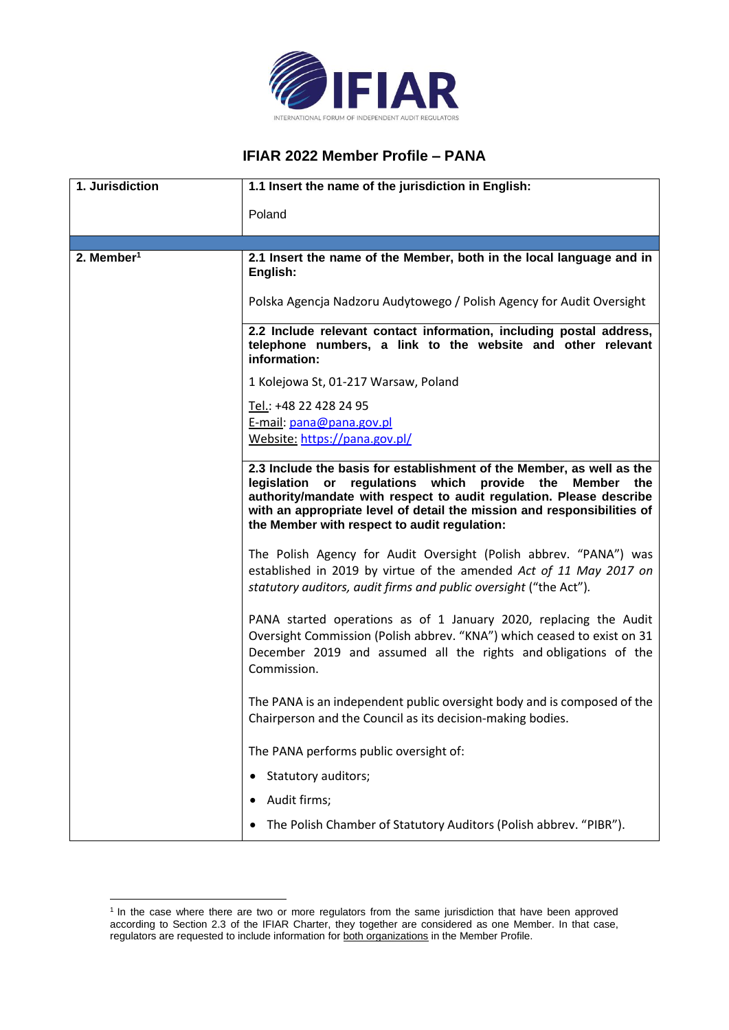

## **IFIAR 2022 Member Profile – PANA**

| 1. Jurisdiction        | 1.1 Insert the name of the jurisdiction in English:                                                                                                                                                                                                                                                                                         |
|------------------------|---------------------------------------------------------------------------------------------------------------------------------------------------------------------------------------------------------------------------------------------------------------------------------------------------------------------------------------------|
|                        | Poland                                                                                                                                                                                                                                                                                                                                      |
|                        |                                                                                                                                                                                                                                                                                                                                             |
| 2. Member <sup>1</sup> | 2.1 Insert the name of the Member, both in the local language and in<br>English:                                                                                                                                                                                                                                                            |
|                        | Polska Agencja Nadzoru Audytowego / Polish Agency for Audit Oversight                                                                                                                                                                                                                                                                       |
|                        | 2.2 Include relevant contact information, including postal address,<br>telephone numbers, a link to the website and other relevant<br>information:                                                                                                                                                                                          |
|                        | 1 Kolejowa St, 01-217 Warsaw, Poland                                                                                                                                                                                                                                                                                                        |
|                        | Tel.: +48 22 428 24 95                                                                                                                                                                                                                                                                                                                      |
|                        | E-mail: pana@pana.gov.pl                                                                                                                                                                                                                                                                                                                    |
|                        | Website: https://pana.gov.pl/                                                                                                                                                                                                                                                                                                               |
|                        | 2.3 Include the basis for establishment of the Member, as well as the<br>legislation<br>regulations which provide the<br>or<br>Member the<br>authority/mandate with respect to audit regulation. Please describe<br>with an appropriate level of detail the mission and responsibilities of<br>the Member with respect to audit regulation: |
|                        | The Polish Agency for Audit Oversight (Polish abbrev. "PANA") was<br>established in 2019 by virtue of the amended Act of 11 May 2017 on<br>statutory auditors, audit firms and public oversight ("the Act").                                                                                                                                |
|                        | PANA started operations as of 1 January 2020, replacing the Audit<br>Oversight Commission (Polish abbrev. "KNA") which ceased to exist on 31<br>December 2019 and assumed all the rights and obligations of the<br>Commission.                                                                                                              |
|                        | The PANA is an independent public oversight body and is composed of the<br>Chairperson and the Council as its decision-making bodies.                                                                                                                                                                                                       |
|                        | The PANA performs public oversight of:                                                                                                                                                                                                                                                                                                      |
|                        | Statutory auditors;                                                                                                                                                                                                                                                                                                                         |
|                        | Audit firms;                                                                                                                                                                                                                                                                                                                                |
|                        | The Polish Chamber of Statutory Auditors (Polish abbrev. "PIBR").                                                                                                                                                                                                                                                                           |

<sup>&</sup>lt;sup>1</sup> In the case where there are two or more regulators from the same jurisdiction that have been approved according to Section 2.3 of the IFIAR Charter, they together are considered as one Member. In that case, regulators are requested to include information for both organizations in the Member Profile.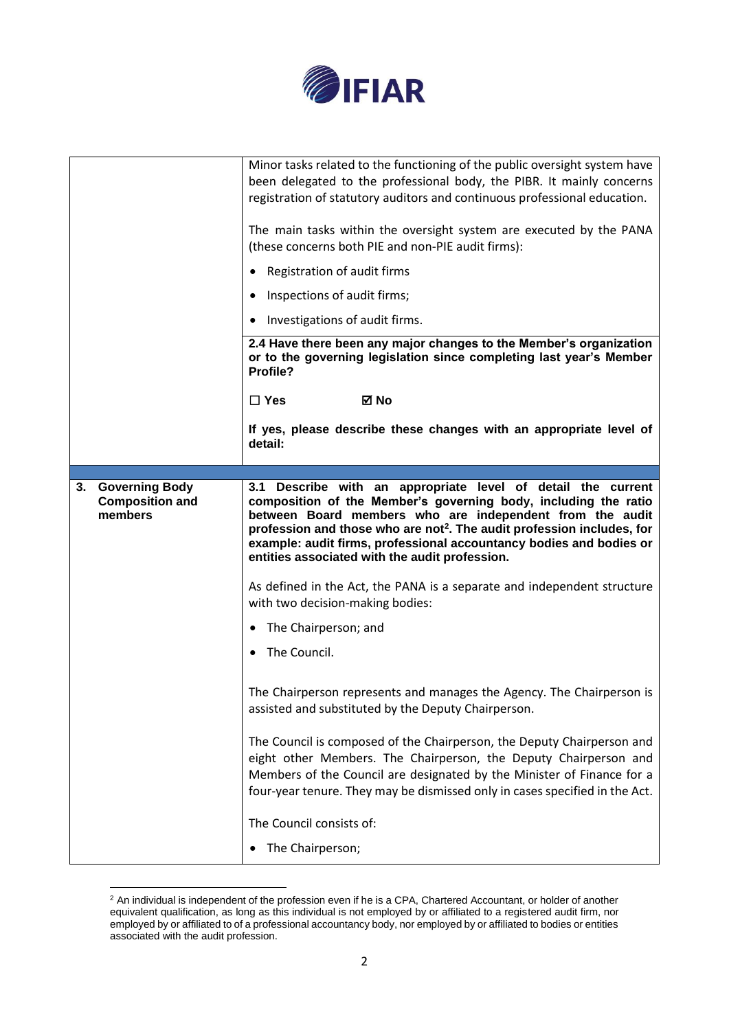

|                                                        | Minor tasks related to the functioning of the public oversight system have<br>been delegated to the professional body, the PIBR. It mainly concerns<br>registration of statutory auditors and continuous professional education.<br>The main tasks within the oversight system are executed by the PANA<br>(these concerns both PIE and non-PIE audit firms):<br>Registration of audit firms<br>Inspections of audit firms;<br>Investigations of audit firms.<br>2.4 Have there been any major changes to the Member's organization<br>or to the governing legislation since completing last year's Member<br>Profile?<br>$\square$ Yes<br>⊠ No |
|--------------------------------------------------------|-------------------------------------------------------------------------------------------------------------------------------------------------------------------------------------------------------------------------------------------------------------------------------------------------------------------------------------------------------------------------------------------------------------------------------------------------------------------------------------------------------------------------------------------------------------------------------------------------------------------------------------------------|
|                                                        | If yes, please describe these changes with an appropriate level of<br>detail:                                                                                                                                                                                                                                                                                                                                                                                                                                                                                                                                                                   |
|                                                        |                                                                                                                                                                                                                                                                                                                                                                                                                                                                                                                                                                                                                                                 |
| 3. Governing Body<br><b>Composition and</b><br>members | 3.1 Describe with an appropriate level of detail the current<br>composition of the Member's governing body, including the ratio<br>between Board members who are independent from the audit<br>profession and those who are not <sup>2</sup> . The audit profession includes, for<br>example: audit firms, professional accountancy bodies and bodies or<br>entities associated with the audit profession.                                                                                                                                                                                                                                      |
|                                                        | As defined in the Act, the PANA is a separate and independent structure<br>with two decision-making bodies:                                                                                                                                                                                                                                                                                                                                                                                                                                                                                                                                     |
|                                                        | The Chairperson; and                                                                                                                                                                                                                                                                                                                                                                                                                                                                                                                                                                                                                            |
|                                                        | The Council.                                                                                                                                                                                                                                                                                                                                                                                                                                                                                                                                                                                                                                    |
|                                                        | The Chairperson represents and manages the Agency. The Chairperson is<br>assisted and substituted by the Deputy Chairperson.                                                                                                                                                                                                                                                                                                                                                                                                                                                                                                                    |
|                                                        | The Council is composed of the Chairperson, the Deputy Chairperson and<br>eight other Members. The Chairperson, the Deputy Chairperson and<br>Members of the Council are designated by the Minister of Finance for a<br>four-year tenure. They may be dismissed only in cases specified in the Act.                                                                                                                                                                                                                                                                                                                                             |
|                                                        | The Council consists of:                                                                                                                                                                                                                                                                                                                                                                                                                                                                                                                                                                                                                        |
|                                                        |                                                                                                                                                                                                                                                                                                                                                                                                                                                                                                                                                                                                                                                 |

 $2$  An individual is independent of the profession even if he is a CPA, Chartered Accountant, or holder of another equivalent qualification, as long as this individual is not employed by or affiliated to a registered audit firm, nor employed by or affiliated to of a professional accountancy body, nor employed by or affiliated to bodies or entities associated with the audit profession.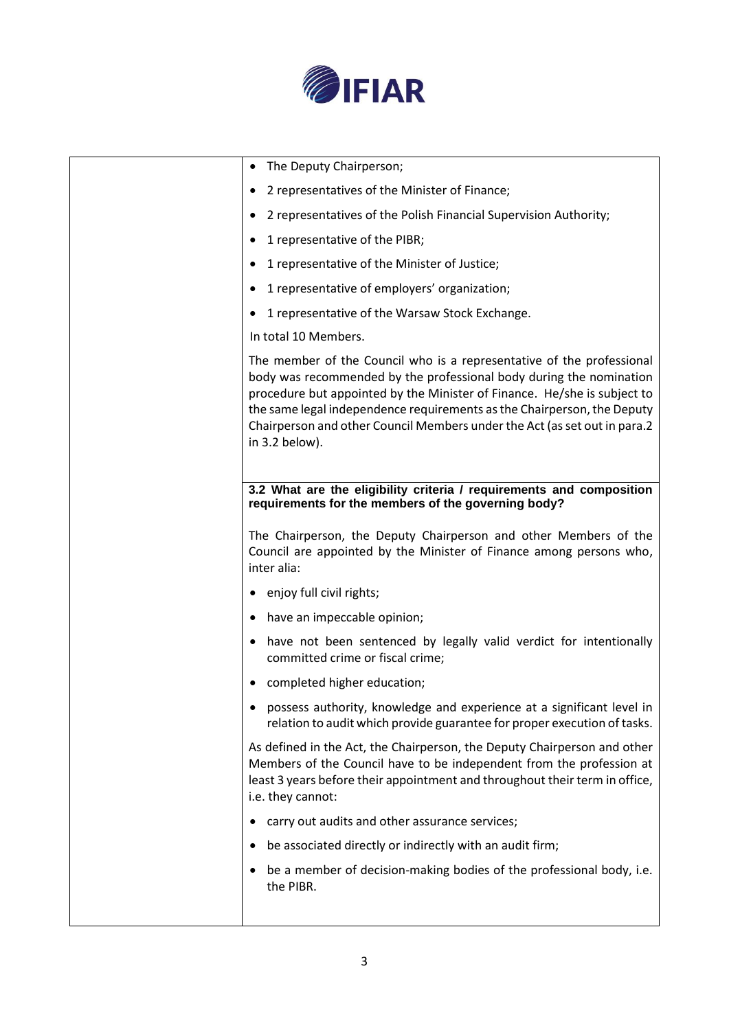

| The Deputy Chairperson;                                                                                                                                                                                                                                                                                                                                                                            |
|----------------------------------------------------------------------------------------------------------------------------------------------------------------------------------------------------------------------------------------------------------------------------------------------------------------------------------------------------------------------------------------------------|
| 2 representatives of the Minister of Finance;                                                                                                                                                                                                                                                                                                                                                      |
| 2 representatives of the Polish Financial Supervision Authority;                                                                                                                                                                                                                                                                                                                                   |
| 1 representative of the PIBR;                                                                                                                                                                                                                                                                                                                                                                      |
| 1 representative of the Minister of Justice;                                                                                                                                                                                                                                                                                                                                                       |
| 1 representative of employers' organization;                                                                                                                                                                                                                                                                                                                                                       |
| 1 representative of the Warsaw Stock Exchange.                                                                                                                                                                                                                                                                                                                                                     |
| In total 10 Members.                                                                                                                                                                                                                                                                                                                                                                               |
| The member of the Council who is a representative of the professional<br>body was recommended by the professional body during the nomination<br>procedure but appointed by the Minister of Finance. He/she is subject to<br>the same legal independence requirements as the Chairperson, the Deputy<br>Chairperson and other Council Members under the Act (as set out in para.2<br>in 3.2 below). |
| 3.2 What are the eligibility criteria / requirements and composition<br>requirements for the members of the governing body?<br>The Chairperson, the Deputy Chairperson and other Members of the<br>Council are appointed by the Minister of Finance among persons who,<br>inter alia:                                                                                                              |
|                                                                                                                                                                                                                                                                                                                                                                                                    |
| enjoy full civil rights;                                                                                                                                                                                                                                                                                                                                                                           |
| have an impeccable opinion;                                                                                                                                                                                                                                                                                                                                                                        |
| have not been sentenced by legally valid verdict for intentionally<br>committed crime or fiscal crime;                                                                                                                                                                                                                                                                                             |
| completed higher education;                                                                                                                                                                                                                                                                                                                                                                        |
| possess authority, knowledge and experience at a significant level in<br>relation to audit which provide guarantee for proper execution of tasks.                                                                                                                                                                                                                                                  |
| As defined in the Act, the Chairperson, the Deputy Chairperson and other<br>Members of the Council have to be independent from the profession at<br>least 3 years before their appointment and throughout their term in office,<br>i.e. they cannot:                                                                                                                                               |
| carry out audits and other assurance services;                                                                                                                                                                                                                                                                                                                                                     |
| be associated directly or indirectly with an audit firm;                                                                                                                                                                                                                                                                                                                                           |
| be a member of decision-making bodies of the professional body, i.e.<br>the PIBR.                                                                                                                                                                                                                                                                                                                  |
|                                                                                                                                                                                                                                                                                                                                                                                                    |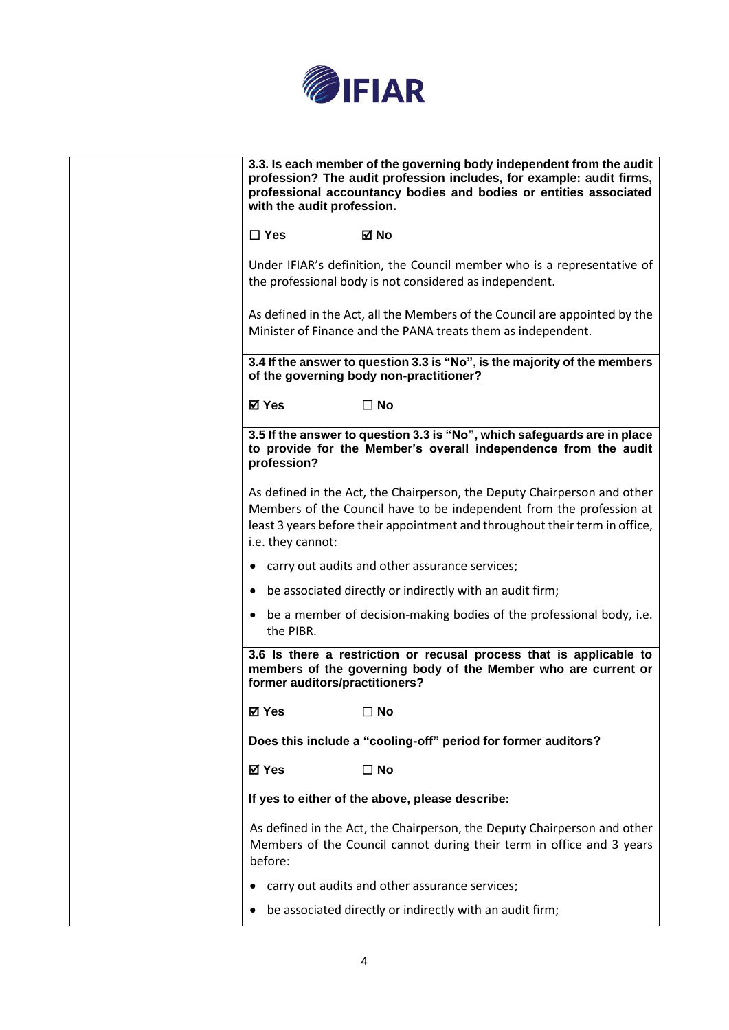

| 3.3. Is each member of the governing body independent from the audit<br>profession? The audit profession includes, for example: audit firms,<br>professional accountancy bodies and bodies or entities associated<br>with the audit profession.      |
|------------------------------------------------------------------------------------------------------------------------------------------------------------------------------------------------------------------------------------------------------|
| $\Box$ Yes<br>⊠ No                                                                                                                                                                                                                                   |
| Under IFIAR's definition, the Council member who is a representative of<br>the professional body is not considered as independent.                                                                                                                   |
| As defined in the Act, all the Members of the Council are appointed by the<br>Minister of Finance and the PANA treats them as independent.                                                                                                           |
| 3.4 If the answer to question 3.3 is "No", is the majority of the members<br>of the governing body non-practitioner?                                                                                                                                 |
| <b>⊠</b> Yes<br>$\Box$ No                                                                                                                                                                                                                            |
| 3.5 If the answer to question 3.3 is "No", which safeguards are in place<br>to provide for the Member's overall independence from the audit<br>profession?                                                                                           |
| As defined in the Act, the Chairperson, the Deputy Chairperson and other<br>Members of the Council have to be independent from the profession at<br>least 3 years before their appointment and throughout their term in office,<br>i.e. they cannot: |
| • carry out audits and other assurance services;                                                                                                                                                                                                     |
| be associated directly or indirectly with an audit firm;                                                                                                                                                                                             |
| • be a member of decision-making bodies of the professional body, i.e.<br>the PIBR.                                                                                                                                                                  |
| 3.6 Is there a restriction or recusal process that is applicable to<br>members of the governing body of the Member who are current or<br>former auditors/practitioners?                                                                              |
| ⊠ Yes<br>$\square$ No                                                                                                                                                                                                                                |
| Does this include a "cooling-off" period for former auditors?                                                                                                                                                                                        |
| <b>⊠</b> Yes<br>$\square$ No                                                                                                                                                                                                                         |
| If yes to either of the above, please describe:                                                                                                                                                                                                      |
| As defined in the Act, the Chairperson, the Deputy Chairperson and other<br>Members of the Council cannot during their term in office and 3 years<br>before:                                                                                         |
| carry out audits and other assurance services;                                                                                                                                                                                                       |
| be associated directly or indirectly with an audit firm;                                                                                                                                                                                             |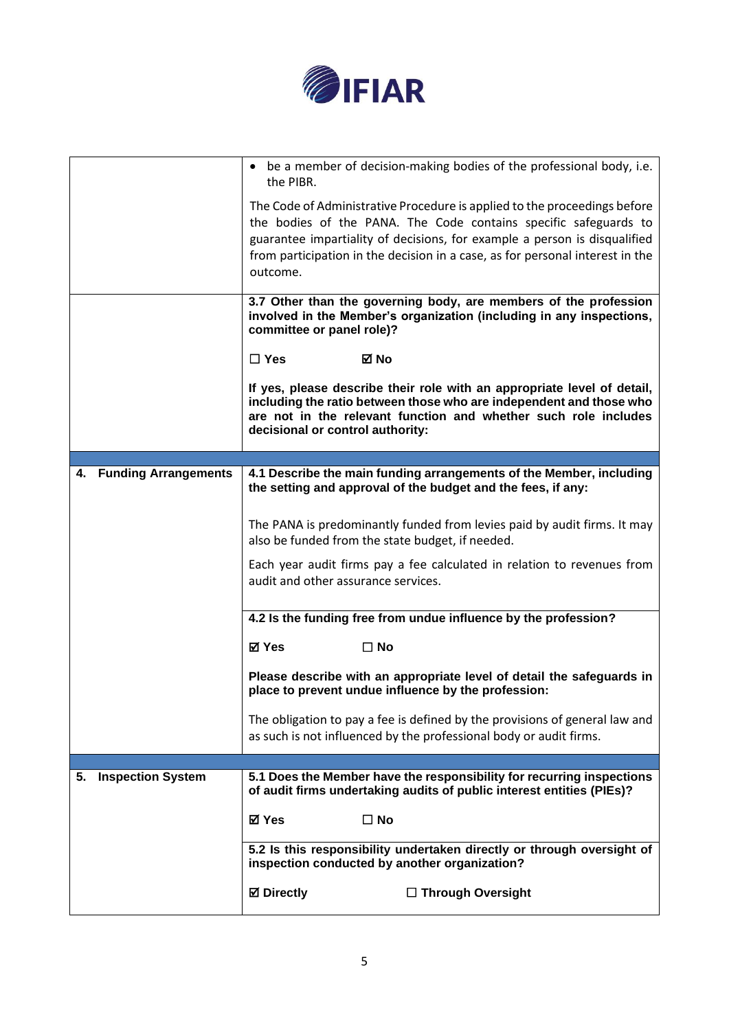

|    |                          | • be a member of decision-making bodies of the professional body, i.e.<br>the PIBR.                                                                                                                                                                                                                                     |
|----|--------------------------|-------------------------------------------------------------------------------------------------------------------------------------------------------------------------------------------------------------------------------------------------------------------------------------------------------------------------|
|    |                          | The Code of Administrative Procedure is applied to the proceedings before<br>the bodies of the PANA. The Code contains specific safeguards to<br>guarantee impartiality of decisions, for example a person is disqualified<br>from participation in the decision in a case, as for personal interest in the<br>outcome. |
|    |                          | 3.7 Other than the governing body, are members of the profession<br>involved in the Member's organization (including in any inspections,<br>committee or panel role)?                                                                                                                                                   |
|    |                          | $\Box$ Yes<br>⊠ No                                                                                                                                                                                                                                                                                                      |
|    |                          | If yes, please describe their role with an appropriate level of detail,<br>including the ratio between those who are independent and those who<br>are not in the relevant function and whether such role includes<br>decisional or control authority:                                                                   |
|    |                          |                                                                                                                                                                                                                                                                                                                         |
|    | 4. Funding Arrangements  | 4.1 Describe the main funding arrangements of the Member, including<br>the setting and approval of the budget and the fees, if any:                                                                                                                                                                                     |
|    |                          | The PANA is predominantly funded from levies paid by audit firms. It may<br>also be funded from the state budget, if needed.                                                                                                                                                                                            |
|    |                          | Each year audit firms pay a fee calculated in relation to revenues from<br>audit and other assurance services.                                                                                                                                                                                                          |
|    |                          | 4.2 Is the funding free from undue influence by the profession?                                                                                                                                                                                                                                                         |
|    |                          | <b>⊠</b> Yes<br>$\square$ No                                                                                                                                                                                                                                                                                            |
|    |                          | Please describe with an appropriate level of detail the safeguards in<br>place to prevent undue influence by the profession:                                                                                                                                                                                            |
|    |                          | The obligation to pay a fee is defined by the provisions of general law and<br>as such is not influenced by the professional body or audit firms.                                                                                                                                                                       |
|    |                          |                                                                                                                                                                                                                                                                                                                         |
| 5. | <b>Inspection System</b> | 5.1 Does the Member have the responsibility for recurring inspections<br>of audit firms undertaking audits of public interest entities (PIEs)?                                                                                                                                                                          |
|    |                          | <b>⊠</b> Yes<br>$\Box$ No                                                                                                                                                                                                                                                                                               |
|    |                          | 5.2 Is this responsibility undertaken directly or through oversight of<br>inspection conducted by another organization?                                                                                                                                                                                                 |
|    |                          | <b>⊠</b> Directly<br>$\Box$ Through Oversight                                                                                                                                                                                                                                                                           |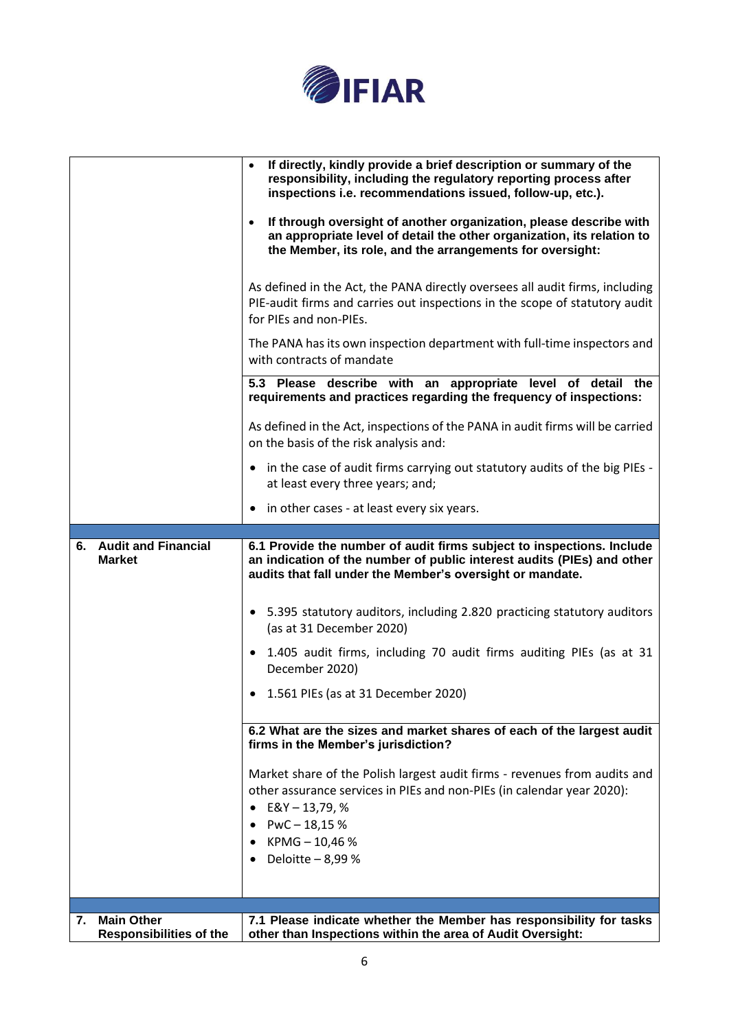

|    |                                         | If directly, kindly provide a brief description or summary of the<br>responsibility, including the regulatory reporting process after<br>inspections i.e. recommendations issued, follow-up, etc.).<br>If through oversight of another organization, please describe with<br>an appropriate level of detail the other organization, its relation to<br>the Member, its role, and the arrangements for oversight:<br>As defined in the Act, the PANA directly oversees all audit firms, including<br>PIE-audit firms and carries out inspections in the scope of statutory audit<br>for PIEs and non-PIEs. |
|----|-----------------------------------------|-----------------------------------------------------------------------------------------------------------------------------------------------------------------------------------------------------------------------------------------------------------------------------------------------------------------------------------------------------------------------------------------------------------------------------------------------------------------------------------------------------------------------------------------------------------------------------------------------------------|
|    |                                         | The PANA has its own inspection department with full-time inspectors and<br>with contracts of mandate                                                                                                                                                                                                                                                                                                                                                                                                                                                                                                     |
|    |                                         | 5.3 Please describe with an appropriate level of detail the<br>requirements and practices regarding the frequency of inspections:                                                                                                                                                                                                                                                                                                                                                                                                                                                                         |
|    |                                         | As defined in the Act, inspections of the PANA in audit firms will be carried<br>on the basis of the risk analysis and:                                                                                                                                                                                                                                                                                                                                                                                                                                                                                   |
|    |                                         | • in the case of audit firms carrying out statutory audits of the big PIEs -<br>at least every three years; and;                                                                                                                                                                                                                                                                                                                                                                                                                                                                                          |
|    |                                         | • in other cases - at least every six years.                                                                                                                                                                                                                                                                                                                                                                                                                                                                                                                                                              |
|    | 6. Audit and Financial<br><b>Market</b> | 6.1 Provide the number of audit firms subject to inspections. Include<br>an indication of the number of public interest audits (PIEs) and other<br>audits that fall under the Member's oversight or mandate.                                                                                                                                                                                                                                                                                                                                                                                              |
|    |                                         | • 5.395 statutory auditors, including 2.820 practicing statutory auditors<br>(as at 31 December 2020)                                                                                                                                                                                                                                                                                                                                                                                                                                                                                                     |
|    |                                         | • 1.405 audit firms, including 70 audit firms auditing PIEs (as at 31<br>December 2020)                                                                                                                                                                                                                                                                                                                                                                                                                                                                                                                   |
|    |                                         | • 1.561 PIEs (as at 31 December 2020)                                                                                                                                                                                                                                                                                                                                                                                                                                                                                                                                                                     |
|    |                                         | 6.2 What are the sizes and market shares of each of the largest audit<br>firms in the Member's jurisdiction?                                                                                                                                                                                                                                                                                                                                                                                                                                                                                              |
|    |                                         | Market share of the Polish largest audit firms - revenues from audits and<br>other assurance services in PIEs and non-PIEs (in calendar year 2020):<br>$E&Y - 13,79, %$<br>$PWC - 18,15%$                                                                                                                                                                                                                                                                                                                                                                                                                 |
|    |                                         | KPMG-10,46%<br>Deloitte - 8,99 %                                                                                                                                                                                                                                                                                                                                                                                                                                                                                                                                                                          |
|    |                                         |                                                                                                                                                                                                                                                                                                                                                                                                                                                                                                                                                                                                           |
|    |                                         |                                                                                                                                                                                                                                                                                                                                                                                                                                                                                                                                                                                                           |
| 7. | <b>Main Other</b>                       | 7.1 Please indicate whether the Member has responsibility for tasks                                                                                                                                                                                                                                                                                                                                                                                                                                                                                                                                       |
|    | <b>Responsibilities of the</b>          | other than Inspections within the area of Audit Oversight:                                                                                                                                                                                                                                                                                                                                                                                                                                                                                                                                                |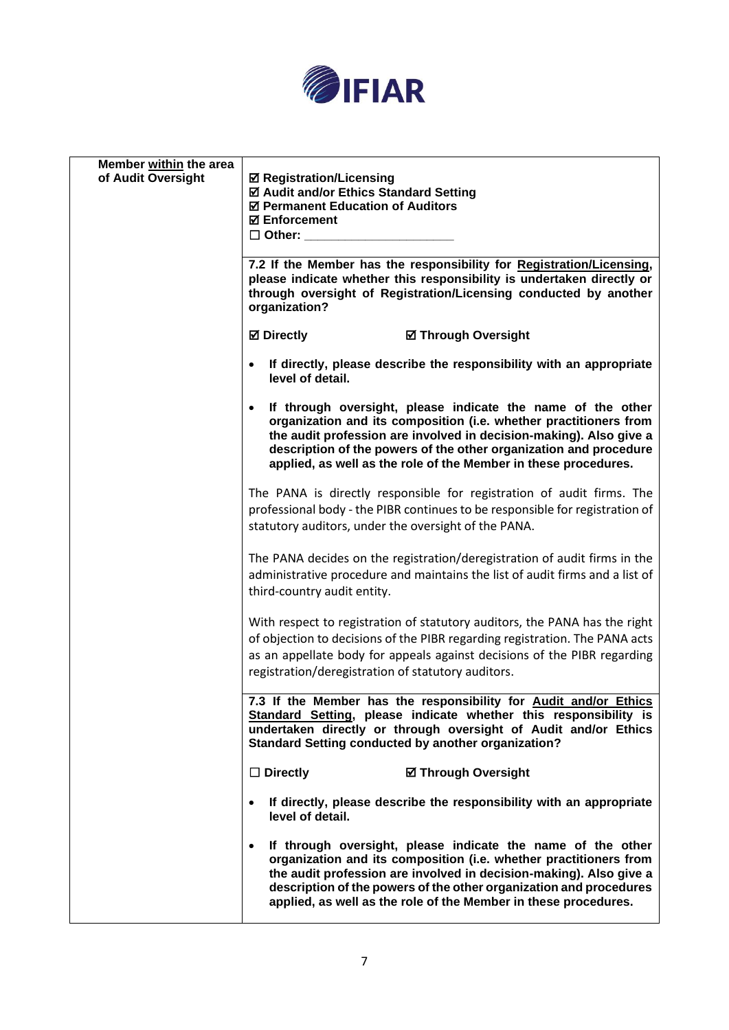

| Member within the area |                                                                                                                                                                                                                                                                                                                                                              |
|------------------------|--------------------------------------------------------------------------------------------------------------------------------------------------------------------------------------------------------------------------------------------------------------------------------------------------------------------------------------------------------------|
| of Audit Oversight     | <b>☑ Registration/Licensing</b><br>☑ Audit and/or Ethics Standard Setting<br>☑ Permanent Education of Auditors<br><b>⊠</b> Enforcement                                                                                                                                                                                                                       |
|                        | $\Box$ Other:                                                                                                                                                                                                                                                                                                                                                |
|                        | 7.2 If the Member has the responsibility for Registration/Licensing,<br>please indicate whether this responsibility is undertaken directly or<br>through oversight of Registration/Licensing conducted by another<br>organization?                                                                                                                           |
|                        | <b>Ø</b> Directly<br><b>Ø Through Oversight</b>                                                                                                                                                                                                                                                                                                              |
|                        | If directly, please describe the responsibility with an appropriate<br>level of detail.                                                                                                                                                                                                                                                                      |
|                        | If through oversight, please indicate the name of the other<br>organization and its composition (i.e. whether practitioners from<br>the audit profession are involved in decision-making). Also give a<br>description of the powers of the other organization and procedure<br>applied, as well as the role of the Member in these procedures.               |
|                        | The PANA is directly responsible for registration of audit firms. The<br>professional body - the PIBR continues to be responsible for registration of<br>statutory auditors, under the oversight of the PANA.                                                                                                                                                |
|                        | The PANA decides on the registration/deregistration of audit firms in the<br>administrative procedure and maintains the list of audit firms and a list of<br>third-country audit entity.                                                                                                                                                                     |
|                        | With respect to registration of statutory auditors, the PANA has the right<br>of objection to decisions of the PIBR regarding registration. The PANA acts<br>as an appellate body for appeals against decisions of the PIBR regarding<br>registration/deregistration of statutory auditors.                                                                  |
|                        | 7.3 If the Member has the responsibility for Audit and/or Ethics<br>Standard Setting, please indicate whether this responsibility is<br>undertaken directly or through oversight of Audit and/or Ethics<br>Standard Setting conducted by another organization?                                                                                               |
|                        | $\Box$ Directly<br><b>Ø Through Oversight</b>                                                                                                                                                                                                                                                                                                                |
|                        | If directly, please describe the responsibility with an appropriate<br>$\bullet$<br>level of detail.                                                                                                                                                                                                                                                         |
|                        | If through oversight, please indicate the name of the other<br>$\bullet$<br>organization and its composition (i.e. whether practitioners from<br>the audit profession are involved in decision-making). Also give a<br>description of the powers of the other organization and procedures<br>applied, as well as the role of the Member in these procedures. |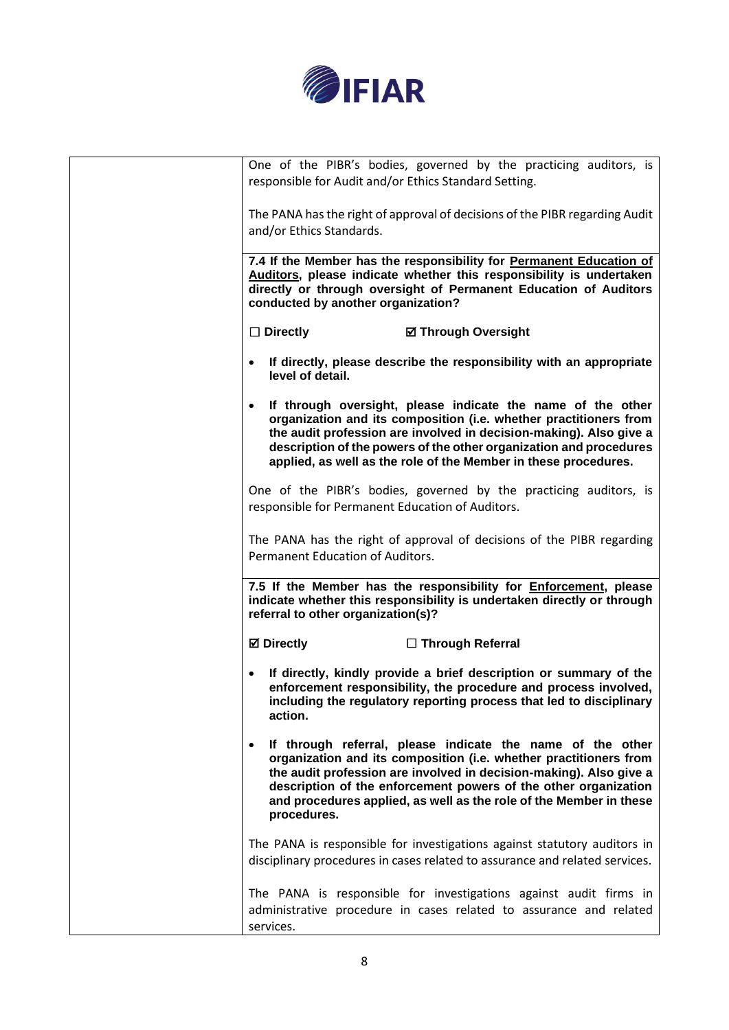

| One of the PIBR's bodies, governed by the practicing auditors, is<br>responsible for Audit and/or Ethics Standard Setting.                                                                                                                                                                                                                                    |
|---------------------------------------------------------------------------------------------------------------------------------------------------------------------------------------------------------------------------------------------------------------------------------------------------------------------------------------------------------------|
| The PANA has the right of approval of decisions of the PIBR regarding Audit<br>and/or Ethics Standards.                                                                                                                                                                                                                                                       |
| 7.4 If the Member has the responsibility for Permanent Education of<br>Auditors, please indicate whether this responsibility is undertaken<br>directly or through oversight of Permanent Education of Auditors<br>conducted by another organization?                                                                                                          |
| $\Box$ Directly<br><b>Ø Through Oversight</b>                                                                                                                                                                                                                                                                                                                 |
| • If directly, please describe the responsibility with an appropriate<br>level of detail.                                                                                                                                                                                                                                                                     |
| • If through oversight, please indicate the name of the other<br>organization and its composition (i.e. whether practitioners from<br>the audit profession are involved in decision-making). Also give a<br>description of the powers of the other organization and procedures<br>applied, as well as the role of the Member in these procedures.             |
| One of the PIBR's bodies, governed by the practicing auditors, is<br>responsible for Permanent Education of Auditors.                                                                                                                                                                                                                                         |
| The PANA has the right of approval of decisions of the PIBR regarding<br>Permanent Education of Auditors.                                                                                                                                                                                                                                                     |
| 7.5 If the Member has the responsibility for <b>Enforcement</b> , please<br>indicate whether this responsibility is undertaken directly or through<br>referral to other organization(s)?                                                                                                                                                                      |
| <b>Ø</b> Directly<br>□ Through Referral                                                                                                                                                                                                                                                                                                                       |
| If directly, kindly provide a brief description or summary of the<br>enforcement responsibility, the procedure and process involved,<br>including the regulatory reporting process that led to disciplinary<br>action.                                                                                                                                        |
| If through referral, please indicate the name of the other<br>organization and its composition (i.e. whether practitioners from<br>the audit profession are involved in decision-making). Also give a<br>description of the enforcement powers of the other organization<br>and procedures applied, as well as the role of the Member in these<br>procedures. |
| The PANA is responsible for investigations against statutory auditors in<br>disciplinary procedures in cases related to assurance and related services.                                                                                                                                                                                                       |
| The PANA is responsible for investigations against audit firms in<br>administrative procedure in cases related to assurance and related<br>services.                                                                                                                                                                                                          |